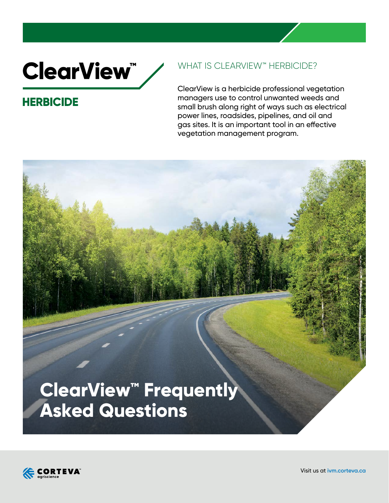# **ClearView**"

# **HERBICIDE**

## WHAT IS CLEARVIEW™ HERBICIDE?

ClearView is a herbicide professional vegetation managers use to control unwanted weeds and small brush along right of ways such as electrical power lines, roadsides, pipelines, and oil and gas sites. It is an important tool in an effective vegetation management program.

# **ClearView™ Frequently Asked Questions**



Visit us at **ivm.corteva.ca**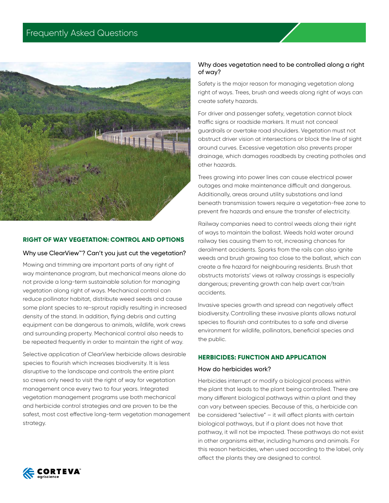

### **RIGHT OF WAY VEGETATION: CONTROL AND OPTIONS**

### Why use ClearView™? Can't you just cut the vegetation?

Mowing and trimming are important parts of any right of way maintenance program, but mechanical means alone do not provide a long-term sustainable solution for managing vegetation along right of ways. Mechanical control can reduce pollinator habitat, distribute weed seeds and cause some plant species to re-sprout rapidly resulting in increased density of the stand. In addition, flying debris and cutting equipment can be dangerous to animals, wildlife, work crews and surrounding property. Mechanical control also needs to be repeated frequently in order to maintain the right of way.

Selective application of ClearView herbicide allows desirable species to flourish which increases biodiversity. It is less disruptive to the landscape and controls the entire plant so crews only need to visit the right of way for vegetation management once every two to four years. Integrated vegetation management programs use both mechanical and herbicide control strategies and are proven to be the safest, most cost effective long-term vegetation management strategy.

### Why does vegetation need to be controlled along a right of way?

Safety is the major reason for managing vegetation along right of ways. Trees, brush and weeds along right of ways can create safety hazards.

For driver and passenger safety, vegetation cannot block traffic signs or roadside markers. It must not conceal guardrails or overtake road shoulders. Vegetation must not obstruct driver vision at intersections or block the line of sight around curves. Excessive vegetation also prevents proper drainage, which damages roadbeds by creating potholes and other hazards.

Trees growing into power lines can cause electrical power outages and make maintenance difficult and dangerous. Additionally, areas around utility substations and land beneath transmission towers require a vegetation-free zone to prevent fire hazards and ensure the transfer of electricity.

Railway companies need to control weeds along their right of ways to maintain the ballast. Weeds hold water around railway ties causing them to rot, increasing chances for derailment accidents. Sparks from the rails can also ignite weeds and brush growing too close to the ballast, which can create a fire hazard for neighbouring residents. Brush that obstructs motorists' views at railway crossings is especially dangerous; preventing growth can help avert car/train accidents.

Invasive species growth and spread can negatively affect biodiversity. Controlling these invasive plants allows natural species to flourish and contributes to a safe and diverse environment for wildlife, pollinators, beneficial species and the public.

### **HERBICIDES: FUNCTION AND APPLICATION**

### How do herbicides work?

Herbicides interrupt or modify a biological process within the plant that leads to the plant being controlled. There are many different biological pathways within a plant and they can vary between species. Because of this, a herbicide can be considered "selective" – it will affect plants with certain biological pathways, but if a plant does not have that pathway, it will not be impacted. These pathways do not exist in other organisms either, including humans and animals. For this reason herbicides, when used according to the label, only affect the plants they are designed to control.

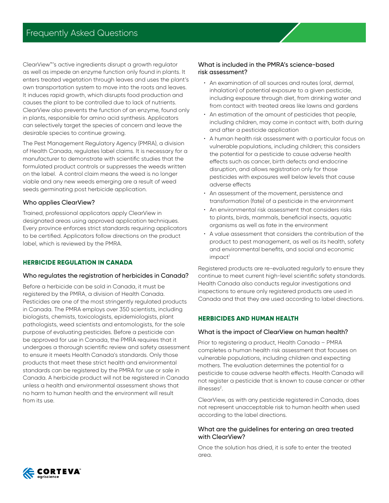ClearView™'s active ingredients disrupt a growth regulator as well as impede an enzyme function only found in plants. It enters treated vegetation through leaves and uses the plant's own transportation system to move into the roots and leaves. It induces rapid growth, which disrupts food production and causes the plant to be controlled due to lack of nutrients. ClearView also prevents the function of an enzyme, found only in plants, responsible for amino acid synthesis. Applicators can selectively target the species of concern and leave the desirable species to continue growing.

The Pest Management Regulatory Agency (PMRA), a division of Health Canada, regulates label claims. It is necessary for a manufacturer to demonstrate with scientific studies that the formulated product controls or suppresses the weeds written on the label. A control claim means the weed is no longer viable and any new weeds emerging are a result of weed seeds germinating post herbicide application.

### Who applies ClearView?

Trained, professional applicators apply ClearView in designated areas using approved application techniques. Every province enforces strict standards requiring applicators to be certified. Applicators follow directions on the product label, which is reviewed by the PMRA.

### **HERBICIDE REGULATION IN CANADA**

### Who regulates the registration of herbicides in Canada?

Before a herbicide can be sold in Canada, it must be registered by the PMRA, a division of Health Canada. Pesticides are one of the most stringently regulated products in Canada. The PMRA employs over 350 scientists, including biologists, chemists, toxicologists, epidemiologists, plant pathologists, weed scientists and entomologists, for the sole purpose of evaluating pesticides. Before a pesticide can be approved for use in Canada, the PMRA requires that it undergoes a thorough scientific review and safety assessment to ensure it meets Health Canada's standards. Only those products that meet these strict health and environmental standards can be registered by the PMRA for use or sale in Canada. A herbicide product will not be registered in Canada unless a health and environmental assessment shows that no harm to human health and the environment will result from its use.

### What is included in the PMRA's science-based risk assessment?

- An examination of all sources and routes (oral, dermal, inhalation) of potential exposure to a given pesticide, including exposure through diet, from drinking water and from contact with treated areas like lawns and gardens
- An estimation of the amount of pesticides that people, including children, may come in contact with, both during and after a pesticide application
- A human health risk assessment with a particular focus on vulnerable populations, including children; this considers the potential for a pesticide to cause adverse health effects such as cancer, birth defects and endocrine disruption, and allows registration only for those pesticides with exposures well below levels that cause adverse effects
- An assessment of the movement, persistence and transformation (fate) of a pesticide in the environment
- An environmental risk assessment that considers risks to plants, birds, mammals, beneficial insects, aquatic organisms as well as fate in the environment
- A value assessment that considers the contribution of the product to pest management, as well as its health, safety and environmental benefits, and social and economic  $im\text{p}\alpha$ ct<sup>1</sup>

Registered products are re-evaluated regularly to ensure they continue to meet current high-level scientific safety standards. Health Canada also conducts regular investigations and inspections to ensure only registered products are used in Canada and that they are used according to label directions.

### **HERBICIDES AND HUMAN HEALTH**

### What is the impact of ClearView on human health?

Prior to registering a product, Health Canada – PMRA completes a human health risk assessment that focuses on vulnerable populations, including children and expecting mothers. The evaluation determines the potential for a pesticide to cause adverse health effects. Health Canada will not register a pesticide that is known to cause cancer or other illnesses<sup>2</sup>.

ClearView, as with any pesticide registered in Canada, does not represent unacceptable risk to human health when used according to the label directions.

### What are the guidelines for entering an area treated with ClearView?

Once the solution has dried, it is safe to enter the treated area.